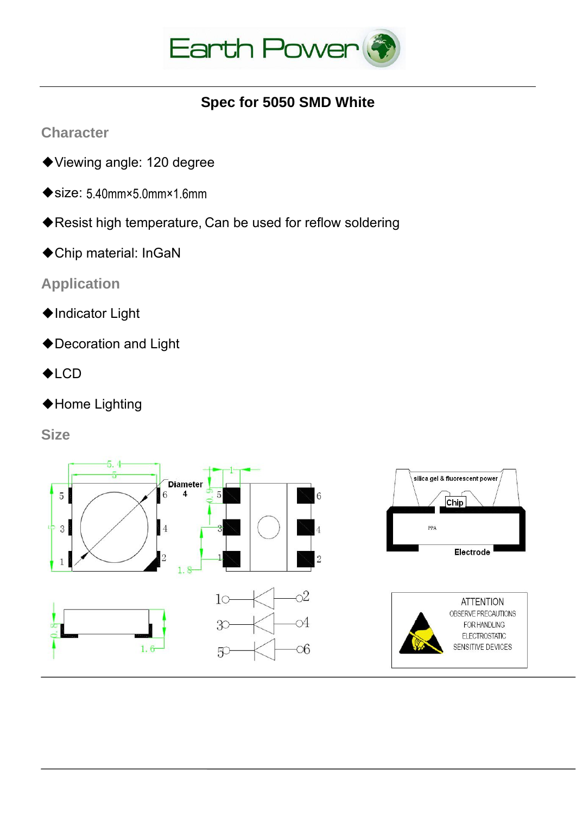

## **Spec for 5050 SMD White**

**Character**

- ◆Viewing angle: 120 degree
- ◆size: 5.40mm×5.0mm×1.6mm
- ◆Resist high temperature, Can be used for reflow soldering
- ◆Chip material: InGaN

## **Application**

- ◆Indicator Light
- ◆Decoration and Light
- ◆LCD
- ◆Home Lighting

**Size** 

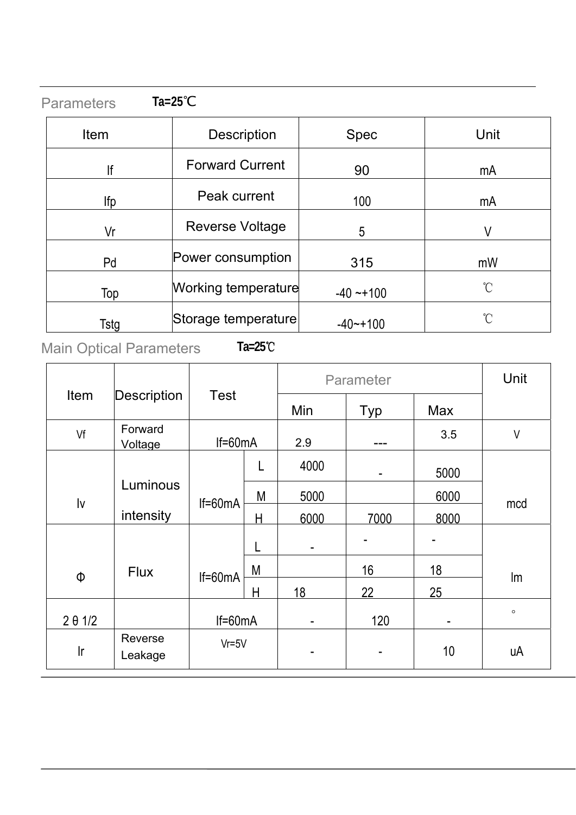| <b>Parameters</b> | $Ta=25^{\circ}C$           |              |                 |
|-------------------|----------------------------|--------------|-----------------|
| Item              | <b>Description</b>         | <b>Spec</b>  | Unit            |
| lf                | <b>Forward Current</b>     | 90           | mA              |
| lfp               | Peak current               | 100          | mA              |
| Vr                | <b>Reverse Voltage</b>     | 5            | V               |
| Pd                | Power consumption          | 315          | mW              |
| Top               | <b>Working temperature</b> | $-40 - +100$ | $\rm ^{\circ}C$ |
| Tstg              | Storage temperature        | $-40$ $-100$ | $\int_{0}^{1}$  |

# Main Optical Parameters **Ta=25**℃

|                |                            |           |             | Parameter |      |                | Unit         |
|----------------|----------------------------|-----------|-------------|-----------|------|----------------|--------------|
|                | Item<br><b>Description</b> |           | <b>Test</b> |           | Typ  | <b>Max</b>     |              |
| Vf             | Forward<br>Voltage         | $If=60mA$ |             | 2.9       |      | 3.5            | $\mathsf{V}$ |
|                |                            |           | L           | 4000      | ۰    | 5000           |              |
| Iv             | Luminous                   | $If=60mA$ | M           | 5000      |      | 6000           | mcd          |
|                | intensity                  |           | H           | 6000      | 7000 | 8000           |              |
|                |                            |           | L           | ۰         |      |                |              |
| Φ              | <b>Flux</b>                | $If=60mA$ | M           |           | 16   | 18             | Im           |
|                |                            |           | H           | 18        | 22   | 25             |              |
| $2 \theta 1/2$ |                            | $If=60mA$ |             |           | 120  | $\blacksquare$ | $\circ$      |
| Ir             | Reverse<br>Leakage         | $Vr = 5V$ |             |           |      | 10             | uA           |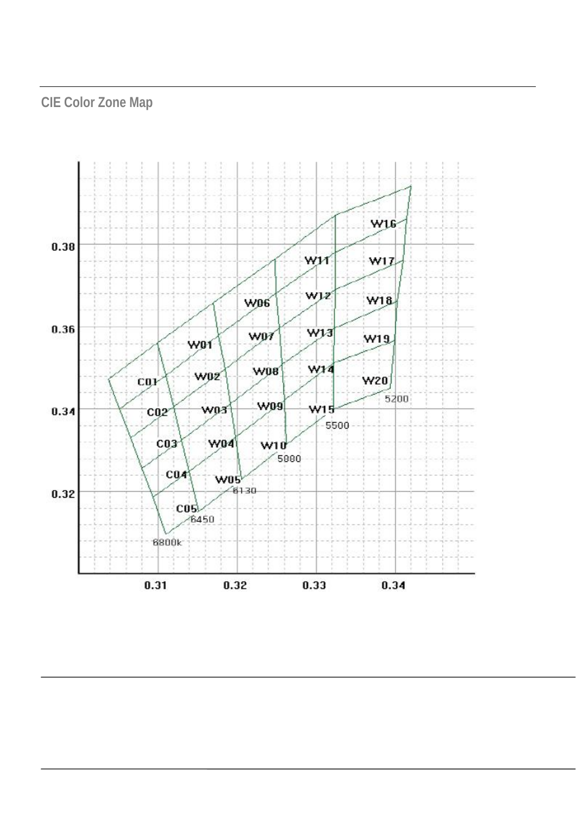# **CIE Color Zone Map**

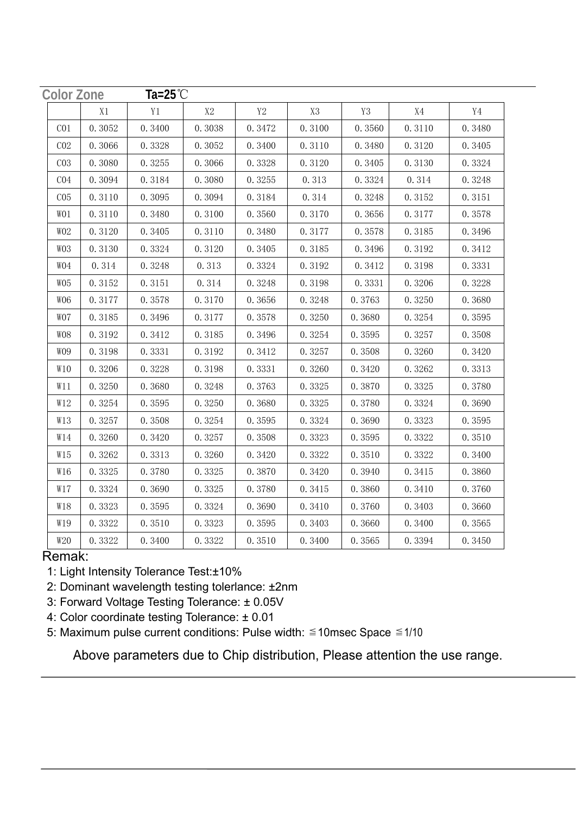| <b>Color Zone</b> |        | Ta=25 $°C$ |        |                |                |        |        |        |
|-------------------|--------|------------|--------|----------------|----------------|--------|--------|--------|
|                   | X1     | Y1         | X2     | Y <sub>2</sub> | X <sub>3</sub> | Y3     | X4     | Y4     |
| ${\rm C}01$       | 0.3052 | 0.3400     | 0.3038 | 0.3472         | 0.3100         | 0.3560 | 0.3110 | 0.3480 |
| CO <sub>2</sub>   | 0.3066 | 0.3328     | 0.3052 | 0.3400         | 0.3110         | 0.3480 | 0.3120 | 0.3405 |
| CO <sub>3</sub>   | 0.3080 | 0.3255     | 0.3066 | 0.3328         | 0.3120         | 0.3405 | 0.3130 | 0.3324 |
| C <sub>04</sub>   | 0.3094 | 0.3184     | 0.3080 | 0.3255         | 0.313          | 0.3324 | 0.314  | 0.3248 |
| CO <sub>5</sub>   | 0.3110 | 0.3095     | 0.3094 | 0.3184         | 0.314          | 0.3248 | 0.3152 | 0.3151 |
| WO1               | 0.3110 | 0.3480     | 0.3100 | 0.3560         | 0.3170         | 0.3656 | 0.3177 | 0.3578 |
| WO <sub>2</sub>   | 0.3120 | 0.3405     | 0.3110 | 0.3480         | 0.3177         | 0.3578 | 0.3185 | 0.3496 |
| WO3               | 0.3130 | 0.3324     | 0.3120 | 0.3405         | 0.3185         | 0.3496 | 0.3192 | 0.3412 |
| WO4               | 0.314  | 0.3248     | 0.313  | 0.3324         | 0.3192         | 0.3412 | 0.3198 | 0.3331 |
| WO <sub>5</sub>   | 0.3152 | 0.3151     | 0.314  | 0.3248         | 0.3198         | 0.3331 | 0.3206 | 0.3228 |
| WO <sub>6</sub>   | 0.3177 | 0.3578     | 0.3170 | 0.3656         | 0.3248         | 0.3763 | 0.3250 | 0.3680 |
| WO7               | 0.3185 | 0.3496     | 0.3177 | 0.3578         | 0.3250         | 0.3680 | 0.3254 | 0.3595 |
| WO <sub>8</sub>   | 0.3192 | 0.3412     | 0.3185 | 0.3496         | 0.3254         | 0.3595 | 0.3257 | 0.3508 |
| WO9               | 0.3198 | 0.3331     | 0.3192 | 0.3412         | 0.3257         | 0.3508 | 0.3260 | 0.3420 |
| W10               | 0.3206 | 0.3228     | 0.3198 | 0.3331         | 0.3260         | 0.3420 | 0.3262 | 0.3313 |
| W11               | 0.3250 | 0.3680     | 0.3248 | 0.3763         | 0.3325         | 0.3870 | 0.3325 | 0.3780 |
| W12               | 0.3254 | 0.3595     | 0.3250 | 0.3680         | 0.3325         | 0.3780 | 0.3324 | 0.3690 |
| W13               | 0.3257 | 0.3508     | 0.3254 | 0.3595         | 0.3324         | 0.3690 | 0.3323 | 0.3595 |
| W14               | 0.3260 | 0.3420     | 0.3257 | 0.3508         | 0.3323         | 0.3595 | 0.3322 | 0.3510 |
| W15               | 0.3262 | 0.3313     | 0.3260 | 0.3420         | 0.3322         | 0.3510 | 0.3322 | 0.3400 |
| W16               | 0.3325 | 0.3780     | 0.3325 | 0.3870         | 0.3420         | 0.3940 | 0.3415 | 0.3860 |
| W17               | 0.3324 | 0.3690     | 0.3325 | 0.3780         | 0.3415         | 0.3860 | 0.3410 | 0.3760 |
| W18               | 0.3323 | 0.3595     | 0.3324 | 0.3690         | 0.3410         | 0.3760 | 0.3403 | 0.3660 |
| W19               | 0.3322 | 0.3510     | 0.3323 | 0.3595         | 0.3403         | 0.3660 | 0.3400 | 0.3565 |
| W20               | 0.3322 | 0.3400     | 0.3322 | 0.3510         | 0.3400         | 0.3565 | 0.3394 | 0.3450 |

#### Remak:

- 1: Light Intensity Tolerance Test:±10%
- 2: Dominant wavelength testing tolerlance: ±2nm
- 3: Forward Voltage Testing Tolerance: ± 0.05V
- 4: Color coordinate testing Tolerance: ± 0.01
- 5: Maximum pulse current conditions: Pulse width:  $\leq 10$ msec Space  $\leq 1/10$

Above parameters due to Chip distribution, Please attention the use range.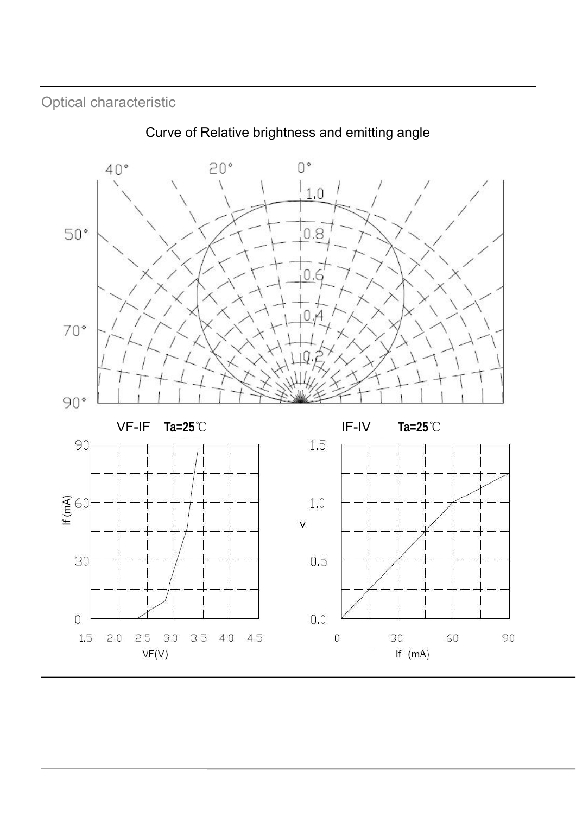Optical characteristic



Curve of Relative brightness and emitting angle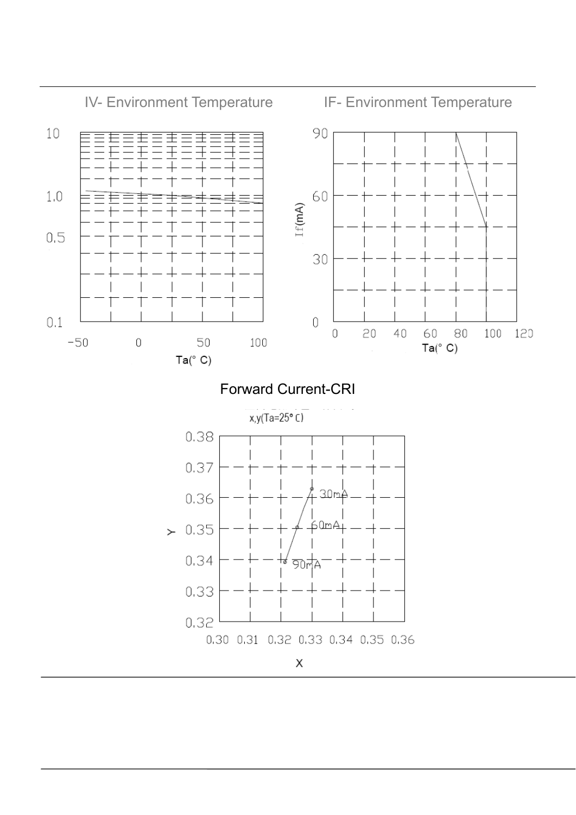

### Forward Current-CRI

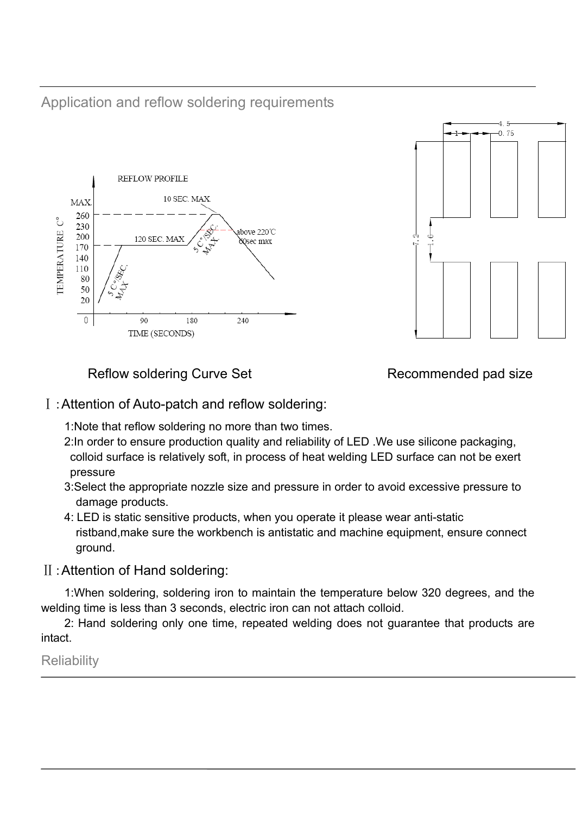Application and reflow soldering requirements





Reflow soldering Curve Set Recommended pad size

### Ⅰ:Attention of Auto-patch and reflow soldering:

1:Note that reflow soldering no more than two times.

- 2:In order to ensure production quality and reliability of LED .We use silicone packaging, colloid surface is relatively soft, in process of heat welding LED surface can not be exert pressure
- 3:Select the appropriate nozzle size and pressure in order to avoid excessive pressure to damage products.
- 4: LED is static sensitive products, when you operate it please wear anti-static ristband,make sure the workbench is antistatic and machine equipment, ensure connect ground.

### Ⅱ:Attention of Hand soldering:

1:When soldering, soldering iron to maintain the temperature below 320 degrees, and the welding time is less than 3 seconds, electric iron can not attach colloid.

2: Hand soldering only one time, repeated welding does not guarantee that products are intact.

**Reliability**